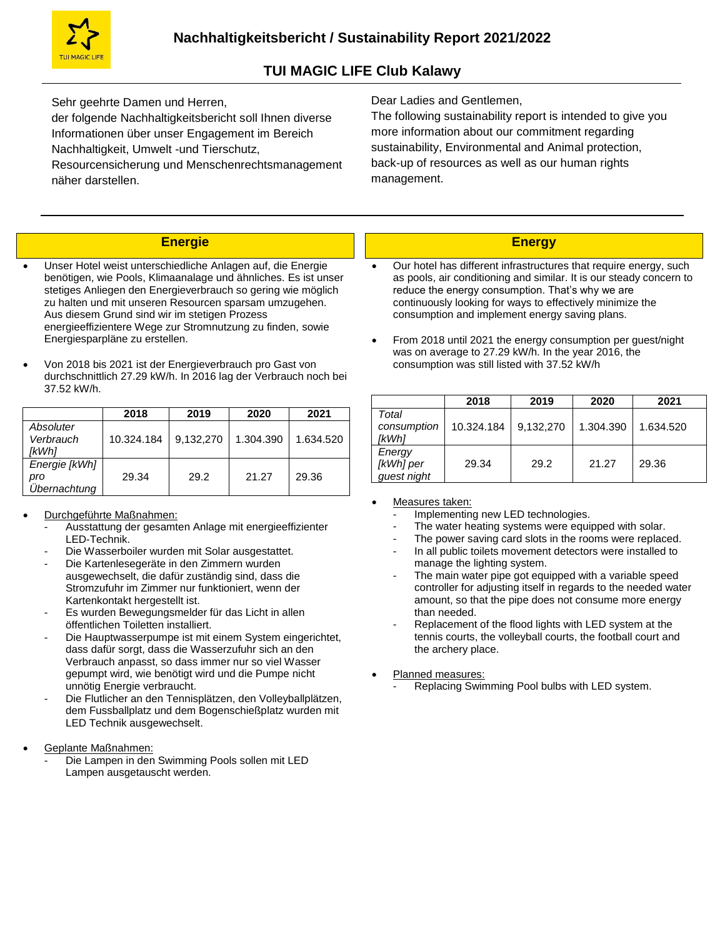Sehr geehrte Damen und Herren,

der folgende Nachhaltigkeitsbericht soll Ihnen diverse Informationen über unser Engagement im Bereich Nachhaltigkeit, Umwelt -und Tierschutz,

Resourcensicherung und Menschenrechtsmanagement näher darstellen.

Dear Ladies and Gentlemen,

The following sustainability report is intended to give you more information about our commitment regarding sustainability, Environmental and Animal protection, back-up of resources as well as our human rights management.

### **Energie**

- Unser Hotel weist unterschiedliche Anlagen auf, die Energie benötigen, wie Pools, Klimaanalage und ähnliches. Es ist unser stetiges Anliegen den Energieverbrauch so gering wie möglich zu halten und mit unseren Resourcen sparsam umzugehen. Aus diesem Grund sind wir im stetigen Prozess energieeffizientere Wege zur Stromnutzung zu finden, sowie Energiesparpläne zu erstellen.
- Von 2018 bis 2021 ist der Energieverbrauch pro Gast von durchschnittlich 27.29 kW/h. In 2016 lag der Verbrauch noch bei 37.52 kW/h.

|                                      | 2018       | 2019      | 2020      | 2021      |
|--------------------------------------|------------|-----------|-----------|-----------|
| Absoluter<br>Verbrauch<br>ſkWh1      | 10.324.184 | 9.132.270 | 1.304.390 | 1.634.520 |
| Energie [kWh]<br>pro<br>Übernachtung | 29.34      | 29.2      | 21.27     | 29.36     |

#### Durchgeführte Maßnahmen:

- Ausstattung der gesamten Anlage mit energieeffizienter LED-Technik.
- Die Wasserboiler wurden mit Solar ausgestattet.
- Die Kartenlesegeräte in den Zimmern wurden ausgewechselt, die dafür zuständig sind, dass die Stromzufuhr im Zimmer nur funktioniert, wenn der Kartenkontakt hergestellt ist.
- Es wurden Bewegungsmelder für das Licht in allen öffentlichen Toiletten installiert.
- Die Hauptwasserpumpe ist mit einem System eingerichtet, dass dafür sorgt, dass die Wasserzufuhr sich an den Verbrauch anpasst, so dass immer nur so viel Wasser gepumpt wird, wie benötigt wird und die Pumpe nicht unnötig Energie verbraucht.
- Die Flutlicher an den Tennisplätzen, den Volleyballplätzen, dem Fussballplatz und dem Bogenschießplatz wurden mit LED Technik ausgewechselt.
- Geplante Maßnahmen:
	- Die Lampen in den Swimming Pools sollen mit LED Lampen ausgetauscht werden.

### **Energy**

- Our hotel has different infrastructures that require energy, such as pools, air conditioning and similar. It is our steady concern to reduce the energy consumption. That's why we are continuously looking for ways to effectively minimize the consumption and implement energy saving plans.
- From 2018 until 2021 the energy consumption per guest/night was on average to 27.29 kW/h. In the year 2016, the consumption was still listed with 37.52 kW/h

|                                    | 2018       | 2019      | 2020      | 2021      |
|------------------------------------|------------|-----------|-----------|-----------|
| Total<br>consumption<br>[kWh]      | 10.324.184 | 9,132,270 | 1.304.390 | 1.634.520 |
| Energy<br>[kWh] per<br>guest night | 29.34      | 29.2      | 21.27     | 29.36     |

#### Measures taken:

- Implementing new LED technologies.
- The water heating systems were equipped with solar.
- The power saving card slots in the rooms were replaced.
- In all public toilets movement detectors were installed to manage the lighting system.
- The main water pipe got equipped with a variable speed controller for adjusting itself in regards to the needed water amount, so that the pipe does not consume more energy than needed.
- Replacement of the flood lights with LED system at the tennis courts, the volleyball courts, the football court and the archery place.
- Planned measures:
	- Replacing Swimming Pool bulbs with LED system.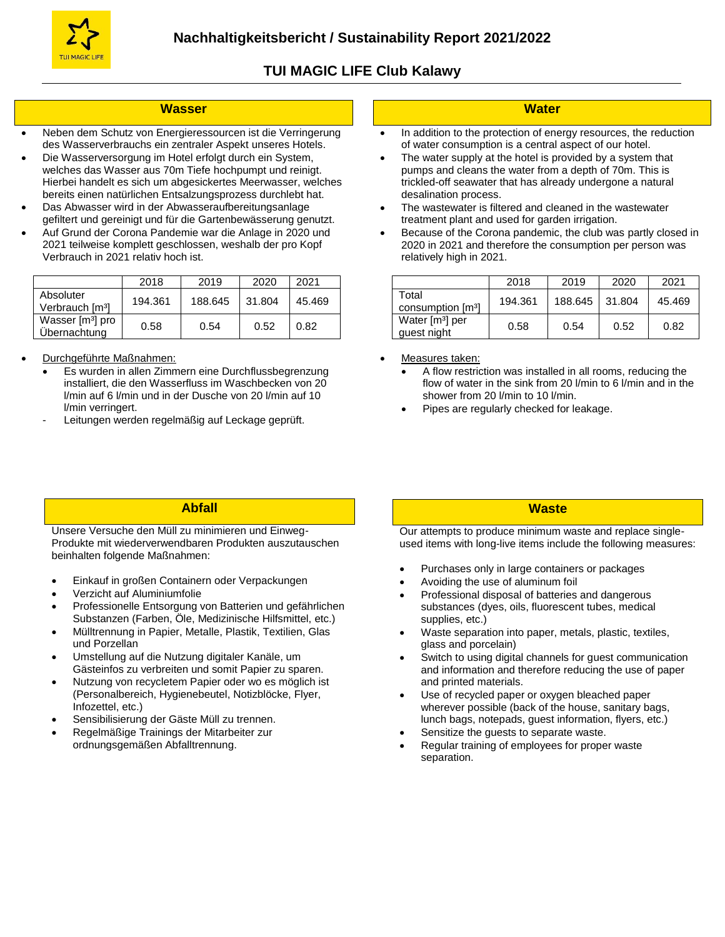

#### **Wasser**

- Neben dem Schutz von Energieressourcen ist die Verringerung des Wasserverbrauchs ein zentraler Aspekt unseres Hotels.
- Die Wasserversorgung im Hotel erfolgt durch ein System, welches das Wasser aus 70m Tiefe hochpumpt und reinigt. Hierbei handelt es sich um abgesickertes Meerwasser, welches bereits einen natürlichen Entsalzungsprozess durchlebt hat.
- Das Abwasser wird in der Abwasseraufbereitungsanlage gefiltert und gereinigt und für die Gartenbewässerung genutzt.
- Auf Grund der Corona Pandemie war die Anlage in 2020 und 2021 teilweise komplett geschlossen, weshalb der pro Kopf Verbrauch in 2021 relativ hoch ist.

|                                              | 2018    | 2019    | 2020   | 2021   |
|----------------------------------------------|---------|---------|--------|--------|
| Absoluter<br>Verbrauch [m <sup>3</sup> ]     | 194.361 | 188.645 | 31.804 | 45.469 |
| Wasser [m <sup>3</sup> ] pro<br>Übernachtung | 0.58    | 0.54    | 0.52   | 0.82   |

- Durchgeführte Maßnahmen:
	- Es wurden in allen Zimmern eine Durchflussbegrenzung installiert, die den Wasserfluss im Waschbecken von 20 l/min auf 6 l/min und in der Dusche von 20 l/min auf 10 l/min verringert.
	- Leitungen werden regelmäßig auf Leckage geprüft.

#### **Water**

- In addition to the protection of energy resources, the reduction of water consumption is a central aspect of our hotel.
- The water supply at the hotel is provided by a system that pumps and cleans the water from a depth of 70m. This is trickled-off seawater that has already undergone a natural desalination process.
- The wastewater is filtered and cleaned in the wastewater treatment plant and used for garden irrigation.
- Because of the Corona pandemic, the club was partly closed in 2020 in 2021 and therefore the consumption per person was relatively high in 2021.

|                                            | 2018    | 2019    | 2020   | 2021   |
|--------------------------------------------|---------|---------|--------|--------|
| Total<br>consumption [m <sup>3</sup> ]     | 194.361 | 188.645 | 31.804 | 45.469 |
| Water [m <sup>3</sup> ] per<br>guest night | 0.58    | 0.54    | 0.52   | 0.82   |

- Measures taken:
	- A flow restriction was installed in all rooms, reducing the flow of water in the sink from 20 l/min to 6 l/min and in the shower from 20 l/min to 10 l/min.
	- Pipes are regularly checked for leakage.

#### **Abfall**

Unsere Versuche den Müll zu minimieren und Einweg-Produkte mit wiederverwendbaren Produkten auszutauschen beinhalten folgende Maßnahmen:

- Einkauf in großen Containern oder Verpackungen
- Verzicht auf Aluminiumfolie
- Professionelle Entsorgung von Batterien und gefährlichen Substanzen (Farben, Öle, Medizinische Hilfsmittel, etc.)
- Mülltrennung in Papier, Metalle, Plastik, Textilien, Glas und Porzellan
- Umstellung auf die Nutzung digitaler Kanäle, um Gästeinfos zu verbreiten und somit Papier zu sparen.
- Nutzung von recycletem Papier oder wo es möglich ist (Personalbereich, Hygienebeutel, Notizblöcke, Flyer, Infozettel, etc.)
- Sensibilisierung der Gäste Müll zu trennen.
- Regelmäßige Trainings der Mitarbeiter zur ordnungsgemäßen Abfalltrennung.

# **Waste**

Our attempts to produce minimum waste and replace singleused items with long-live items include the following measures:

- Purchases only in large containers or packages
- Avoiding the use of aluminum foil
- Professional disposal of batteries and dangerous substances (dyes, oils, fluorescent tubes, medical supplies, etc.)
- Waste separation into paper, metals, plastic, textiles, glass and porcelain)
- Switch to using digital channels for guest communication and information and therefore reducing the use of paper and printed materials.
- Use of recycled paper or oxygen bleached paper wherever possible (back of the house, sanitary bags, lunch bags, notepads, guest information, flyers, etc.)
- Sensitize the guests to separate waste.
- Regular training of employees for proper waste separation.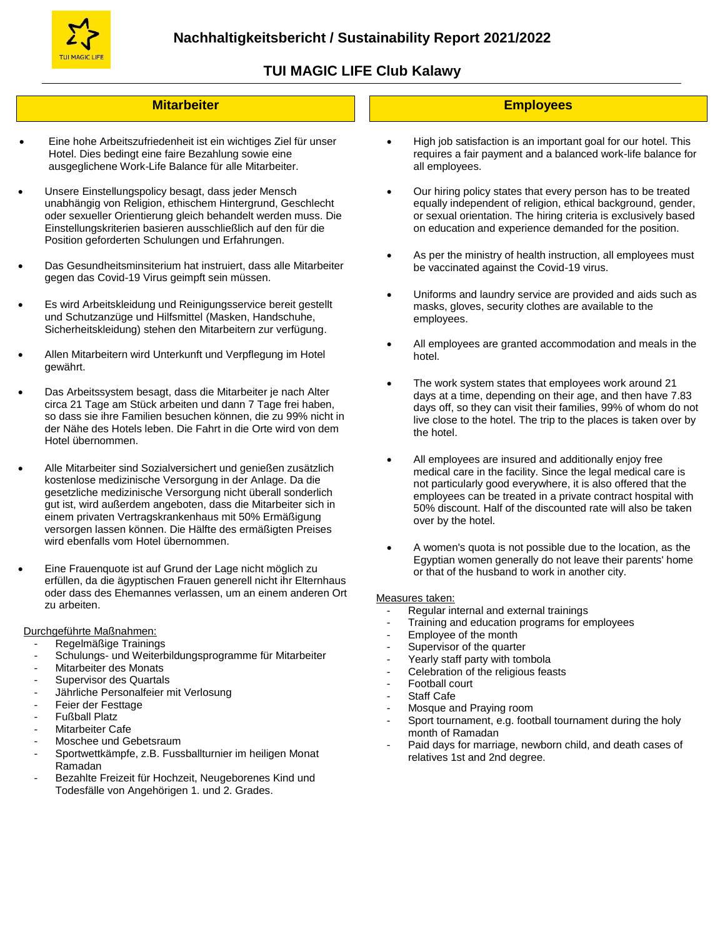

 $\overline{a}$ 

# **TUI MAGIC LIFE Club Kalawy**

#### **Mitarbeiter**

- Eine hohe Arbeitszufriedenheit ist ein wichtiges Ziel für unser Hotel. Dies bedingt eine faire Bezahlung sowie eine ausgeglichene Work-Life Balance für alle Mitarbeiter.
- Unsere Einstellungspolicy besagt, dass jeder Mensch unabhängig von Religion, ethischem Hintergrund, Geschlecht oder sexueller Orientierung gleich behandelt werden muss. Die Einstellungskriterien basieren ausschließlich auf den für die Position geforderten Schulungen und Erfahrungen.
- Das Gesundheitsminsiterium hat instruiert, dass alle Mitarbeiter gegen das Covid-19 Virus geimpft sein müssen.
- Es wird Arbeitskleidung und Reinigungsservice bereit gestellt und Schutzanzüge und Hilfsmittel (Masken, Handschuhe, Sicherheitskleidung) stehen den Mitarbeitern zur verfügung.
- Allen Mitarbeitern wird Unterkunft und Verpflegung im Hotel gewährt.
- Das Arbeitssystem besagt, dass die Mitarbeiter je nach Alter circa 21 Tage am Stück arbeiten und dann 7 Tage frei haben, so dass sie ihre Familien besuchen können, die zu 99% nicht in der Nähe des Hotels leben. Die Fahrt in die Orte wird von dem Hotel übernommen.
- Alle Mitarbeiter sind Sozialversichert und genießen zusätzlich kostenlose medizinische Versorgung in der Anlage. Da die gesetzliche medizinische Versorgung nicht überall sonderlich gut ist, wird außerdem angeboten, dass die Mitarbeiter sich in einem privaten Vertragskrankenhaus mit 50% Ermäßigung versorgen lassen können. Die Hälfte des ermäßigten Preises wird ebenfalls vom Hotel übernommen.
- Eine Frauenquote ist auf Grund der Lage nicht möglich zu erfüllen, da die ägyptischen Frauen generell nicht ihr Elternhaus oder dass des Ehemannes verlassen, um an einem anderen Ort zu arbeiten.

#### Durchgeführte Maßnahmen:

- Regelmäßige Trainings
- Schulungs- und Weiterbildungsprogramme für Mitarbeiter
- Mitarbeiter des Monats
- Supervisor des Quartals
- Jährliche Personalfeier mit Verlosung
- Feier der Festtage
- Fußball Platz
- Mitarbeiter Cafe
- Moschee und Gebetsraum
- Sportwettkämpfe, z.B. Fussballturnier im heiligen Monat Ramadan
- Bezahlte Freizeit für Hochzeit, Neugeborenes Kind und Todesfälle von Angehörigen 1. und 2. Grades.

### **Employees**

- High job satisfaction is an important goal for our hotel. This requires a fair payment and a balanced work-life balance for all employees.
- Our hiring policy states that every person has to be treated equally independent of religion, ethical background, gender, or sexual orientation. The hiring criteria is exclusively based on education and experience demanded for the position.
- As per the ministry of health instruction, all employees must be vaccinated against the Covid-19 virus.
- Uniforms and laundry service are provided and aids such as masks, gloves, security clothes are available to the employees.
- All employees are granted accommodation and meals in the hotel.
- The work system states that employees work around 21 days at a time, depending on their age, and then have 7.83 days off, so they can visit their families, 99% of whom do not live close to the hotel. The trip to the places is taken over by the hotel.
- All employees are insured and additionally enjoy free medical care in the facility. Since the legal medical care is not particularly good everywhere, it is also offered that the employees can be treated in a private contract hospital with 50% discount. Half of the discounted rate will also be taken over by the hotel.
- A women's quota is not possible due to the location, as the Egyptian women generally do not leave their parents' home or that of the husband to work in another city.

#### Measures taken:

- Regular internal and external trainings
- Training and education programs for employees
- Employee of the month
- Supervisor of the quarter
- Yearly staff party with tombola
- Celebration of the religious feasts
- Football court
- Staff Cafe
- Mosque and Praying room
- Sport tournament, e.g. football tournament during the holy month of Ramadan
- Paid days for marriage, newborn child, and death cases of relatives 1st and 2nd degree.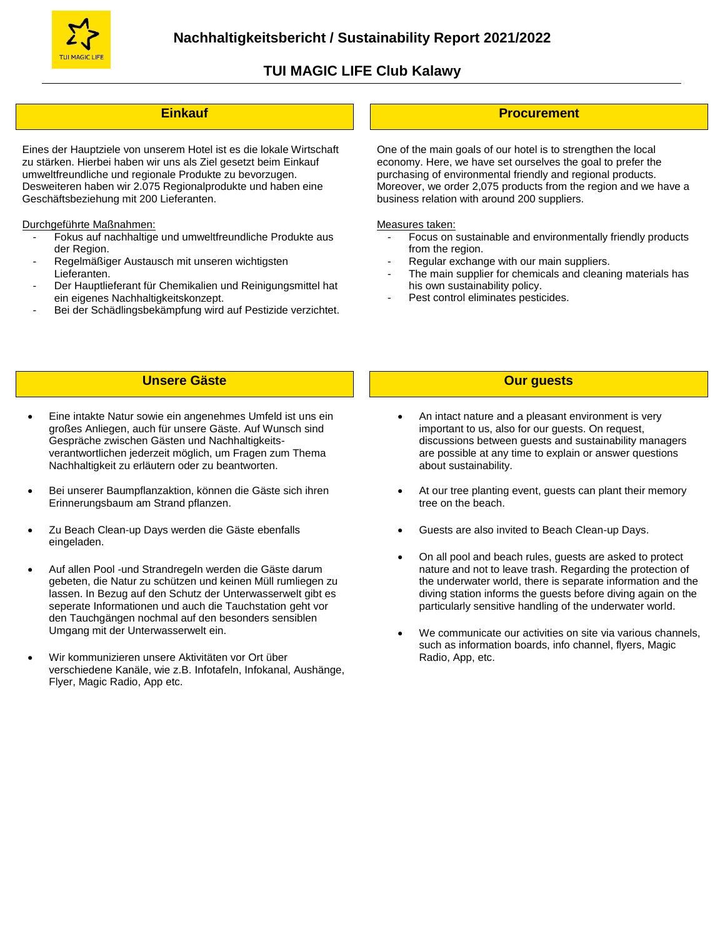

### **Einkauf**

 Eines der Hauptziele von unserem Hotel ist es die lokale Wirtschaft zu stärken. Hierbei haben wir uns als Ziel gesetzt beim Einkauf umweltfreundliche und regionale Produkte zu bevorzugen. Desweiteren haben wir 2.075 Regionalprodukte und haben eine Geschäftsbeziehung mit 200 Lieferanten.

Durchgeführte Maßnahmen:

- Fokus auf nachhaltige und umweltfreundliche Produkte aus der Region.
- Regelmäßiger Austausch mit unseren wichtigsten Lieferanten.
- Der Hauptlieferant für Chemikalien und Reinigungsmittel hat ein eigenes Nachhaltigkeitskonzept.
- Bei der Schädlingsbekämpfung wird auf Pestizide verzichtet.

#### **Procurement**

 One of the main goals of our hotel is to strengthen the local economy. Here, we have set ourselves the goal to prefer the purchasing of environmental friendly and regional products. Moreover, we order 2,075 products from the region and we have a business relation with around 200 suppliers.

#### Measures taken:

- Focus on sustainable and environmentally friendly products from the region.
- Regular exchange with our main suppliers.
- The main supplier for chemicals and cleaning materials has his own sustainability policy.
- Pest control eliminates pesticides.

#### **Unsere Gäste**

- Eine intakte Natur sowie ein angenehmes Umfeld ist uns ein großes Anliegen, auch für unsere Gäste. Auf Wunsch sind Gespräche zwischen Gästen und Nachhaltigkeitsverantwortlichen jederzeit möglich, um Fragen zum Thema Nachhaltigkeit zu erläutern oder zu beantworten.
- Bei unserer Baumpflanzaktion, können die Gäste sich ihren Erinnerungsbaum am Strand pflanzen.
- Zu Beach Clean-up Days werden die Gäste ebenfalls eingeladen.
- Auf allen Pool -und Strandregeln werden die Gäste darum gebeten, die Natur zu schützen und keinen Müll rumliegen zu lassen. In Bezug auf den Schutz der Unterwasserwelt gibt es seperate Informationen und auch die Tauchstation geht vor den Tauchgängen nochmal auf den besonders sensiblen Umgang mit der Unterwasserwelt ein.
- Wir kommunizieren unsere Aktivitäten vor Ort über verschiedene Kanäle, wie z.B. Infotafeln, Infokanal, Aushänge, Flyer, Magic Radio, App etc.

#### **Our guests**

- An intact nature and a pleasant environment is very important to us, also for our guests. On request, discussions between guests and sustainability managers are possible at any time to explain or answer questions about sustainability.
- At our tree planting event, guests can plant their memory tree on the beach.
- Guests are also invited to Beach Clean-up Days.
- On all pool and beach rules, guests are asked to protect nature and not to leave trash. Regarding the protection of the underwater world, there is separate information and the diving station informs the guests before diving again on the particularly sensitive handling of the underwater world.
- We communicate our activities on site via various channels, such as information boards, info channel, flyers, Magic Radio, App, etc.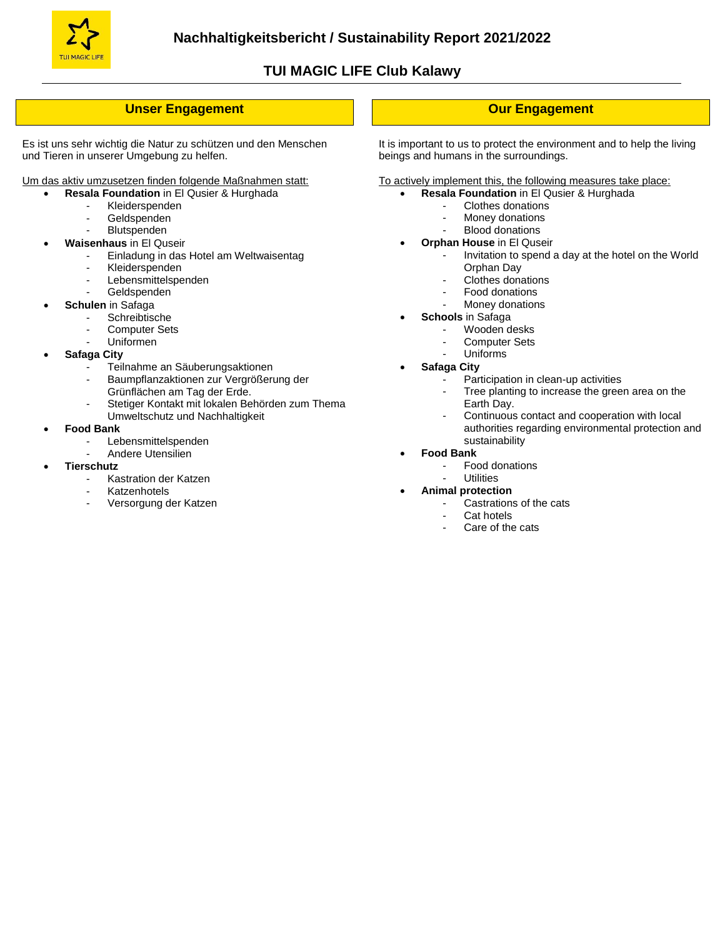

### **Unser Engagement**

Es ist uns sehr wichtig die Natur zu schützen und den Menschen und Tieren in unserer Umgebung zu helfen.

Um das aktiv umzusetzen finden folgende Maßnahmen statt:

- **Resala Foundation** in El Qusier & Hurghada
	- Kleiderspenden
	- Geldspenden
	- **Blutspenden**
	- **Waisenhaus** in El Quseir
		- Einladung in das Hotel am Weltwaisentag
		- Kleiderspenden
			- Lebensmittelspenden
		- Geldspenden
		- **Schulen** in Safaga
			- Schreibtische
			- Computer Sets
			- Uniformen
	- **Safaga City**
		- Teilnahme an Säuberungsaktionen
			- Baumpflanzaktionen zur Vergrößerung der Grünflächen am Tag der Erde.
		- Stetiger Kontakt mit lokalen Behörden zum Thema Umweltschutz und Nachhaltigkeit
	- **Food Bank**
		- **Lebensmittelspenden**
		- Andere Utensilien
	- **Tierschutz**
		- Kastration der Katzen
		- **Katzenhotels**
		- Versorgung der Katzen

### **Our Engagement**

It is important to us to protect the environment and to help the living beings and humans in the surroundings.

To actively implement this, the following measures take place:

- **Resala Foundation** in El Qusier & Hurghada
	- Clothes donations
	- Money donations
	- Blood donations
- **Orphan House** in El Quseir
	- Invitation to spend a day at the hotel on the World Orphan Day
	- Clothes donations
	- Food donations
	- Money donations
- **Schools** in Safaga
	- Wooden desks
	- Computer Sets
	- Uniforms **Safaga City**
		- Participation in clean-up activities
		- Tree planting to increase the green area on the Earth Day.
		- Continuous contact and cooperation with local authorities regarding environmental protection and sustainability
- **Food Bank**
	- Food donations
	- **Utilities**
- **Animal protection**
	- Castrations of the cats
	- Cat hotels
	- Care of the cats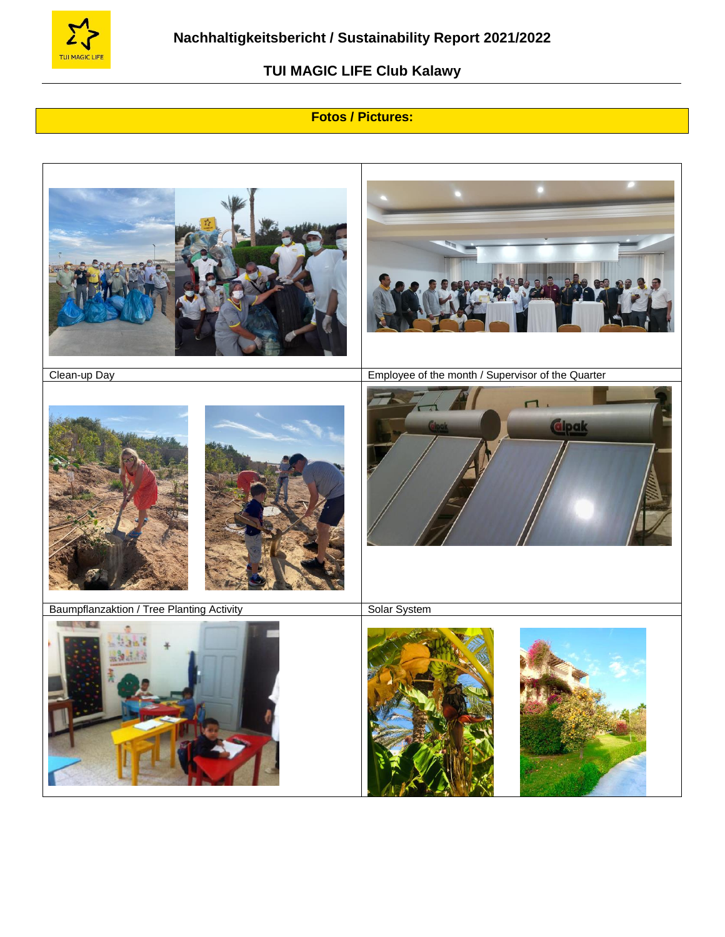

# **Fotos / Pictures:**

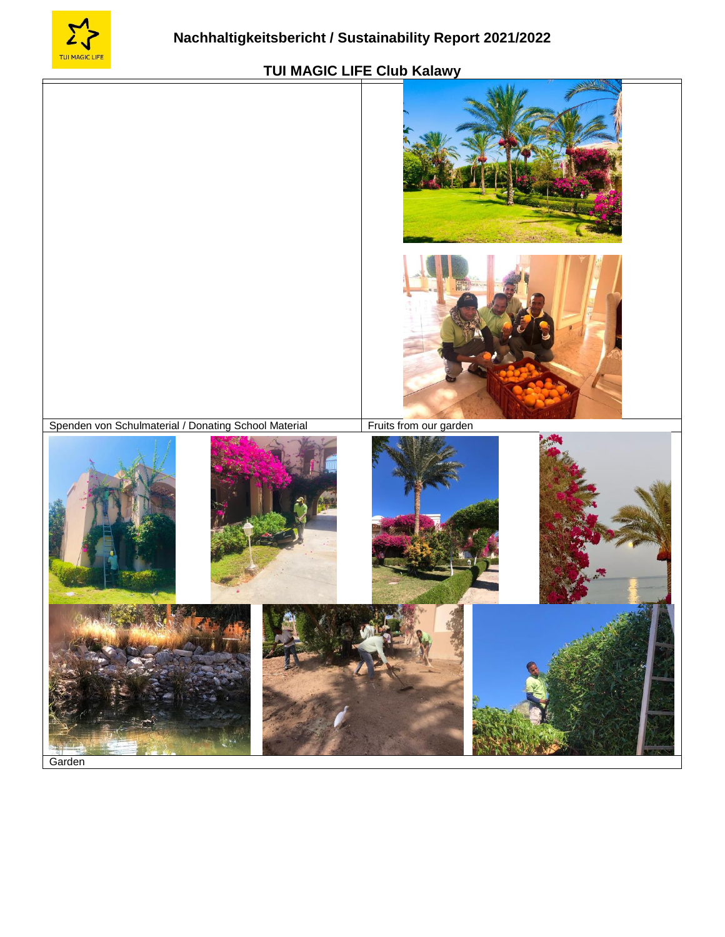



Garden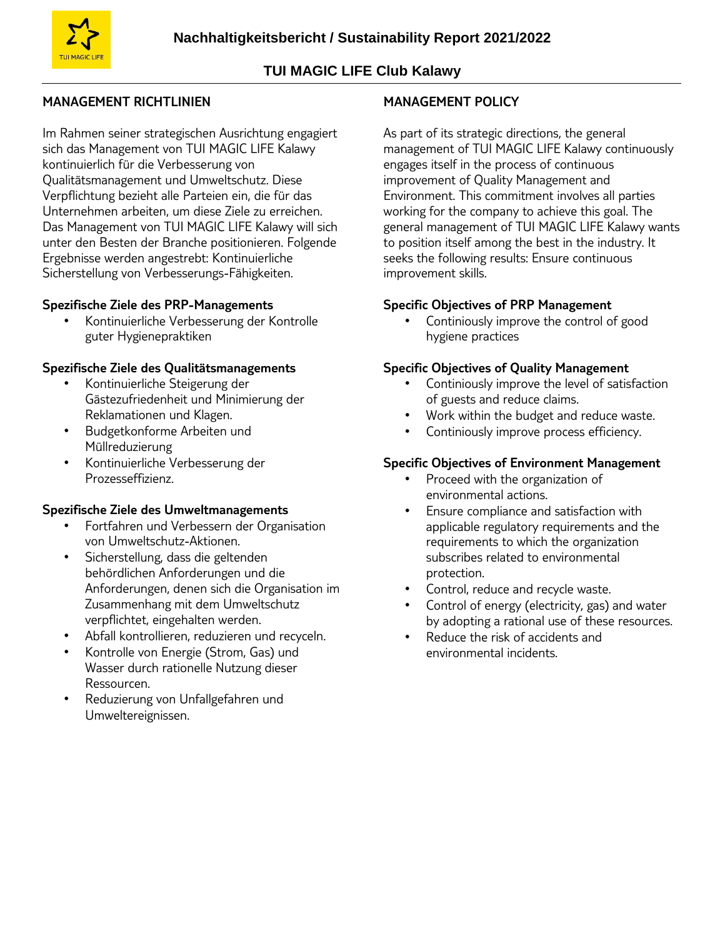

# **MANAGEMENT RICHTLINIEN**

Im Rahmen seiner strategischen Ausrichtung engagiert sich das Management von TUI MAGIC LIFE Kalawy kontinuierlich für die Verbesserung von Qualitätsmanagement und Umweltschutz. Diese Verpflichtung bezieht alle Parteien ein, die für das Unternehmen arbeiten, um diese Ziele zu erreichen. Das Management von TUI MAGIC LIFE Kalawy will sich unter den Besten der Branche positionieren. Folgende Ergebnisse werden angestrebt: Kontinuierliche Sicherstellung von Verbesserungs-Fähigkeiten.

### **Spezifische Ziele des PRP-Managements**

• Kontinuierliche Verbesserung der Kontrolle guter Hygienepraktiken

### **Spezifische Ziele des Qualitätsmanagements**

- Kontinuierliche Steigerung der Gästezufriedenheit und Minimierung der Reklamationen und Klagen.
- Budgetkonforme Arbeiten und Müllreduzierung
- Kontinuierliche Verbesserung der Prozesseffizienz.

### **Spezifische Ziele des Umweltmanagements**

- Fortfahren und Verbessern der Organisation von Umweltschutz-Aktionen.
- Sicherstellung, dass die geltenden behördlichen Anforderungen und die Anforderungen, denen sich die Organisation im Zusammenhang mit dem Umweltschutz verpflichtet, eingehalten werden.
- Abfall kontrollieren, reduzieren und recyceln.
- Kontrolle von Energie (Strom, Gas) und Wasser durch rationelle Nutzung dieser Ressourcen.
- Reduzierung von Unfallgefahren und Umweltereignissen.

### **MANAGEMENT POLICY**

As part of its strategic directions, the general management of TUI MAGIC LIFE Kalawy continuously engages itself in the process of continuous improvement of Quality Management and Environment. This commitment involves all parties working for the company to achieve this goal. The general management of TUI MAGIC LIFE Kalawy wants to position itself among the best in the industry. It seeks the following results: Ensure continuous improvement skills.

### **Specific Objectives of PRP Management**

Continiously improve the control of good hygiene practices

### **Specific Objectives of Quality Management**

- Continiously improve the level of satisfaction of guests and reduce claims.
- Work within the budget and reduce waste.
- Continiously improve process efficiency.

### **Specific Objectives of Environment Management**

- Proceed with the organization of environmental actions.
- Ensure compliance and satisfaction with applicable regulatory requirements and the requirements to which the organization subscribes related to environmental protection.
- Control, reduce and recycle waste.
- Control of energy (electricity, gas) and water by adopting a rational use of these resources.
- Reduce the risk of accidents and environmental incidents.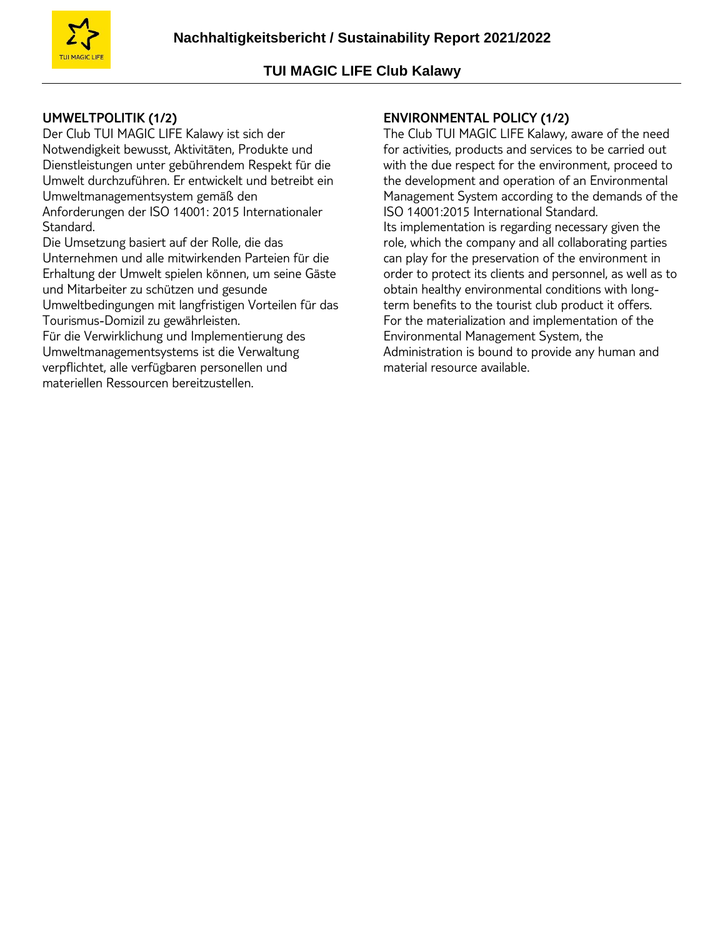

# **UMWELTPOLITIK (1/2)**

Der Club TUI MAGIC LIFE Kalawy ist sich der Notwendigkeit bewusst, Aktivitäten, Produkte und Dienstleistungen unter gebührendem Respekt für die Umwelt durchzuführen. Er entwickelt und betreibt ein Umweltmanagementsystem gemäß den Anforderungen der ISO 14001: 2015 Internationaler Standard.

Die Umsetzung basiert auf der Rolle, die das Unternehmen und alle mitwirkenden Parteien für die Erhaltung der Umwelt spielen können, um seine Gäste und Mitarbeiter zu schützen und gesunde

Umweltbedingungen mit langfristigen Vorteilen für das Tourismus-Domizil zu gewährleisten.

Für die Verwirklichung und Implementierung des Umweltmanagementsystems ist die Verwaltung verpflichtet, alle verfügbaren personellen und materiellen Ressourcen bereitzustellen.

# **ENVIRONMENTAL POLICY (1/2)**

The Club TUI MAGIC LIFE Kalawy, aware of the need for activities, products and services to be carried out with the due respect for the environment, proceed to the development and operation of an Environmental Management System according to the demands of the ISO 14001:2015 International Standard. Its implementation is regarding necessary given the role, which the company and all collaborating parties can play for the preservation of the environment in order to protect its clients and personnel, as well as to obtain healthy environmental conditions with longterm benefits to the tourist club product it offers. For the materialization and implementation of the Environmental Management System, the Administration is bound to provide any human and material resource available.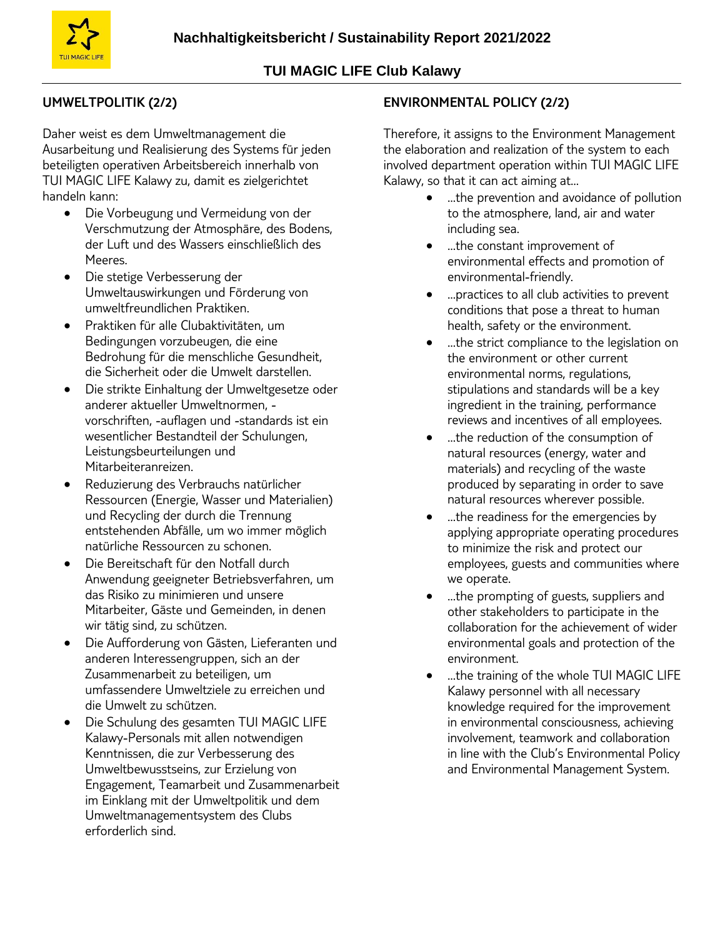# **UMWELTPOLITIK (2/2)**

Daher weist es dem Umweltmanagement die Ausarbeitung und Realisierung des Systems für jeden beteiligten operativen Arbeitsbereich innerhalb von TUI MAGIC LIFE Kalawy zu, damit es zielgerichtet handeln kann:

- Die Vorbeugung und Vermeidung von der Verschmutzung der Atmosphäre, des Bodens, der Luft und des Wassers einschließlich des Meeres.
- Die stetige Verbesserung der Umweltauswirkungen und Förderung von umweltfreundlichen Praktiken.
- Praktiken für alle Clubaktivitäten, um Bedingungen vorzubeugen, die eine Bedrohung für die menschliche Gesundheit, die Sicherheit oder die Umwelt darstellen.
- Die strikte Einhaltung der Umweltgesetze oder anderer aktueller Umweltnormen, vorschriften, -auflagen und -standards ist ein wesentlicher Bestandteil der Schulungen, Leistungsbeurteilungen und Mitarbeiteranreizen.
- Reduzierung des Verbrauchs natürlicher Ressourcen (Energie, Wasser und Materialien) und Recycling der durch die Trennung entstehenden Abfälle, um wo immer möglich natürliche Ressourcen zu schonen.
- Die Bereitschaft für den Notfall durch Anwendung geeigneter Betriebsverfahren, um das Risiko zu minimieren und unsere Mitarbeiter, Gäste und Gemeinden, in denen wir tätig sind, zu schützen.
- Die Aufforderung von Gästen, Lieferanten und anderen Interessengruppen, sich an der Zusammenarbeit zu beteiligen, um umfassendere Umweltziele zu erreichen und die Umwelt zu schützen.
- Die Schulung des gesamten TUI MAGIC LIFE Kalawy-Personals mit allen notwendigen Kenntnissen, die zur Verbesserung des Umweltbewusstseins, zur Erzielung von Engagement, Teamarbeit und Zusammenarbeit im Einklang mit der Umweltpolitik und dem Umweltmanagementsystem des Clubs erforderlich sind.

# **ENVIRONMENTAL POLICY (2/2)**

Therefore, it assigns to the Environment Management the elaboration and realization of the system to each involved department operation within TUI MAGIC LIFE Kalawy, so that it can act aiming at…

- …the prevention and avoidance of pollution to the atmosphere, land, air and water including sea.
- …the constant improvement of environmental effects and promotion of environmental-friendly.
- …practices to all club activities to prevent conditions that pose a threat to human health, safety or the environment.
- …the strict compliance to the legislation on the environment or other current environmental norms, regulations, stipulations and standards will be a key ingredient in the training, performance reviews and incentives of all employees.
- …the reduction of the consumption of natural resources (energy, water and materials) and recycling of the waste produced by separating in order to save natural resources wherever possible.
- …the readiness for the emergencies by applying appropriate operating procedures to minimize the risk and protect our employees, guests and communities where we operate.
- …the prompting of guests, suppliers and other stakeholders to participate in the collaboration for the achievement of wider environmental goals and protection of the environment.
- …the training of the whole TUI MAGIC LIFE Kalawy personnel with all necessary knowledge required for the improvement in environmental consciousness, achieving involvement, teamwork and collaboration in line with the Club's Environmental Policy and Environmental Management System.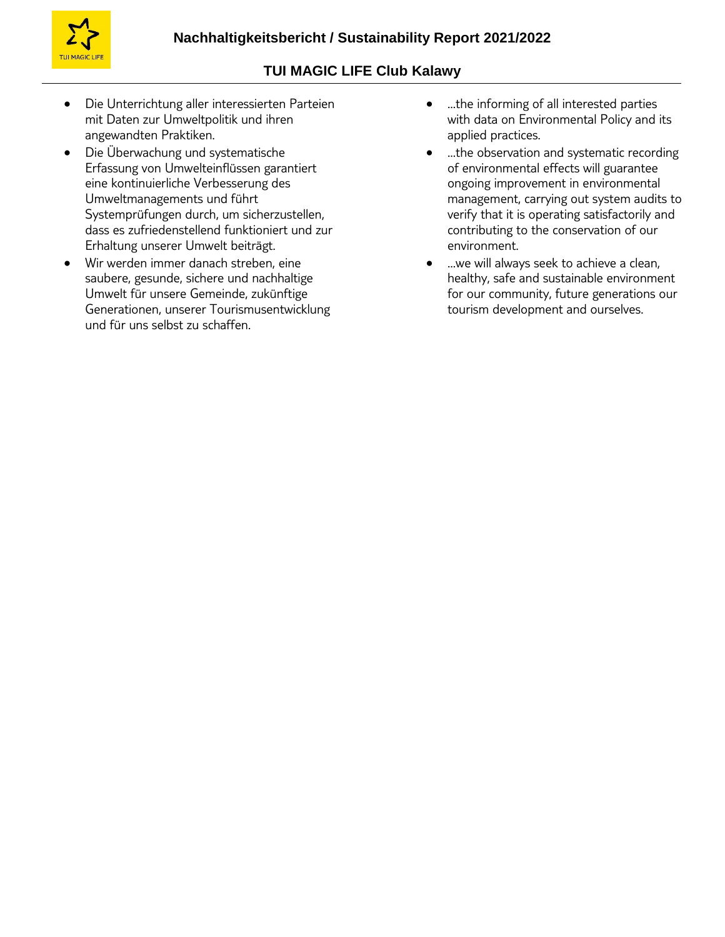

- Die Unterrichtung aller interessierten Parteien mit Daten zur Umweltpolitik und ihren angewandten Praktiken.
- Die Überwachung und systematische Erfassung von Umwelteinflüssen garantiert eine kontinuierliche Verbesserung des Umweltmanagements und führt Systemprüfungen durch, um sicherzustellen, dass es zufriedenstellend funktioniert und zur Erhaltung unserer Umwelt beiträgt.
- Wir werden immer danach streben, eine saubere, gesunde, sichere und nachhaltige Umwelt für unsere Gemeinde, zukünftige Generationen, unserer Tourismusentwicklung und für uns selbst zu schaffen.
- …the informing of all interested parties with data on Environmental Policy and its applied practices.
- …the observation and systematic recording of environmental effects will guarantee ongoing improvement in environmental management, carrying out system audits to verify that it is operating satisfactorily and contributing to the conservation of our environment.
- …we will always seek to achieve a clean, healthy, safe and sustainable environment for our community, future generations our tourism development and ourselves.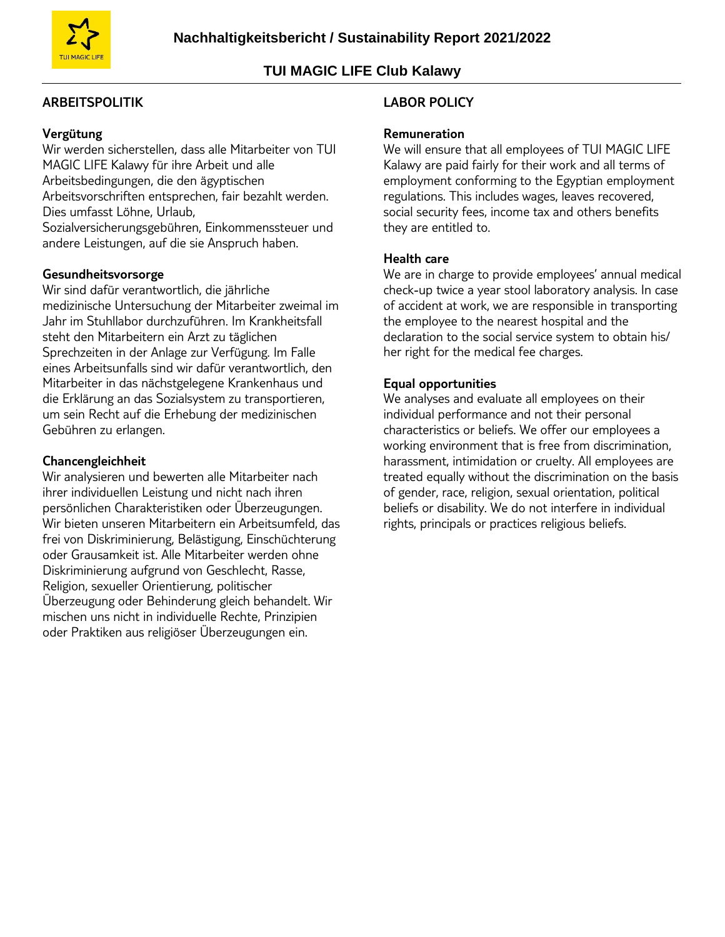

### **ARBEITSPOLITIK**

### **Vergütung**

Wir werden sicherstellen, dass alle Mitarbeiter von TUI MAGIC LIFE Kalawy für ihre Arbeit und alle Arbeitsbedingungen, die den ägyptischen Arbeitsvorschriften entsprechen, fair bezahlt werden. Dies umfasst Löhne, Urlaub, Sozialversicherungsgebühren, Einkommenssteuer und andere Leistungen, auf die sie Anspruch haben.

#### **Gesundheitsvorsorge**

Wir sind dafür verantwortlich, die jährliche medizinische Untersuchung der Mitarbeiter zweimal im Jahr im Stuhllabor durchzuführen. Im Krankheitsfall steht den Mitarbeitern ein Arzt zu täglichen Sprechzeiten in der Anlage zur Verfügung. Im Falle eines Arbeitsunfalls sind wir dafür verantwortlich, den Mitarbeiter in das nächstgelegene Krankenhaus und die Erklärung an das Sozialsystem zu transportieren, um sein Recht auf die Erhebung der medizinischen Gebühren zu erlangen.

#### **Chancengleichheit**

Wir analysieren und bewerten alle Mitarbeiter nach ihrer individuellen Leistung und nicht nach ihren persönlichen Charakteristiken oder Überzeugungen. Wir bieten unseren Mitarbeitern ein Arbeitsumfeld, das frei von Diskriminierung, Belästigung, Einschüchterung oder Grausamkeit ist. Alle Mitarbeiter werden ohne Diskriminierung aufgrund von Geschlecht, Rasse, Religion, sexueller Orientierung, politischer Überzeugung oder Behinderung gleich behandelt. Wir mischen uns nicht in individuelle Rechte, Prinzipien oder Praktiken aus religiöser Überzeugungen ein.

#### **LABOR POLICY**

#### **Remuneration**

We will ensure that all employees of TUI MAGIC LIFE Kalawy are paid fairly for their work and all terms of employment conforming to the Egyptian employment regulations. This includes wages, leaves recovered, social security fees, income tax and others benefits they are entitled to.

#### **Health care**

We are in charge to provide employees' annual medical check-up twice a year stool laboratory analysis. In case of accident at work, we are responsible in transporting the employee to the nearest hospital and the declaration to the social service system to obtain his/ her right for the medical fee charges.

#### **Equal opportunities**

We analyses and evaluate all employees on their individual performance and not their personal characteristics or beliefs. We offer our employees a working environment that is free from discrimination, harassment, intimidation or cruelty. All employees are treated equally without the discrimination on the basis of gender, race, religion, sexual orientation, political beliefs or disability. We do not interfere in individual rights, principals or practices religious beliefs.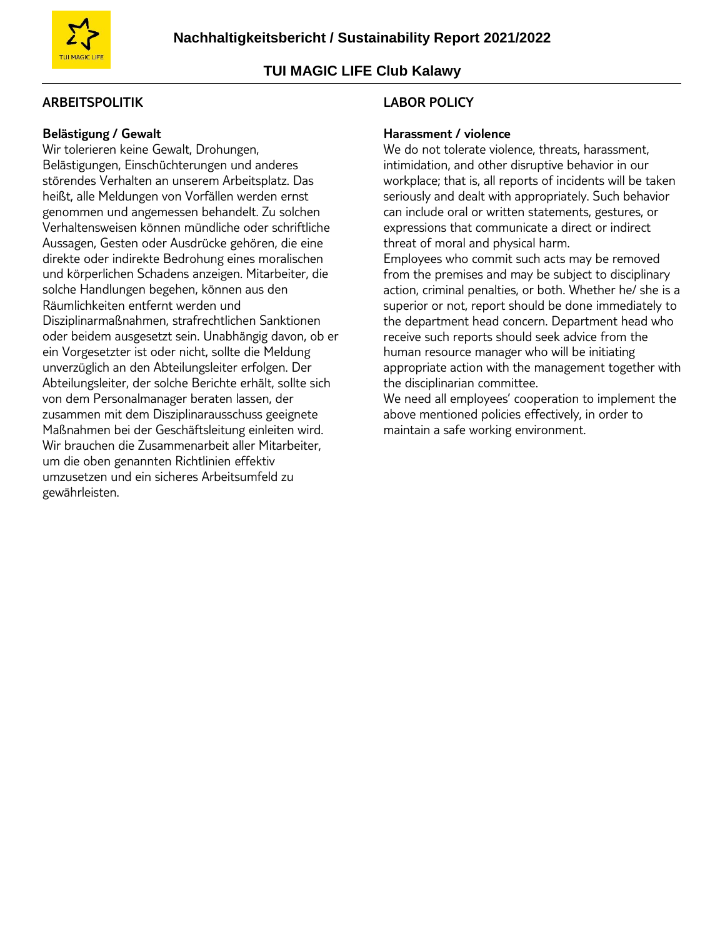

### **ARBEITSPOLITIK**

### **Belästigung / Gewalt**

Wir tolerieren keine Gewalt, Drohungen, Belästigungen, Einschüchterungen und anderes störendes Verhalten an unserem Arbeitsplatz. Das heißt, alle Meldungen von Vorfällen werden ernst genommen und angemessen behandelt. Zu solchen Verhaltensweisen können mündliche oder schriftliche Aussagen, Gesten oder Ausdrücke gehören, die eine direkte oder indirekte Bedrohung eines moralischen und körperlichen Schadens anzeigen. Mitarbeiter, die solche Handlungen begehen, können aus den Räumlichkeiten entfernt werden und Disziplinarmaßnahmen, strafrechtlichen Sanktionen oder beidem ausgesetzt sein. Unabhängig davon, ob er ein Vorgesetzter ist oder nicht, sollte die Meldung unverzüglich an den Abteilungsleiter erfolgen. Der Abteilungsleiter, der solche Berichte erhält, sollte sich von dem Personalmanager beraten lassen, der zusammen mit dem Disziplinarausschuss geeignete Maßnahmen bei der Geschäftsleitung einleiten wird. Wir brauchen die Zusammenarbeit aller Mitarbeiter, um die oben genannten Richtlinien effektiv umzusetzen und ein sicheres Arbeitsumfeld zu gewährleisten.

### **LABOR POLICY**

#### **Harassment / violence**

We do not tolerate violence, threats, harassment, intimidation, and other disruptive behavior in our workplace; that is, all reports of incidents will be taken seriously and dealt with appropriately. Such behavior can include oral or written statements, gestures, or expressions that communicate a direct or indirect threat of moral and physical harm.

Employees who commit such acts may be removed from the premises and may be subject to disciplinary action, criminal penalties, or both. Whether he/ she is a superior or not, report should be done immediately to the department head concern. Department head who receive such reports should seek advice from the human resource manager who will be initiating appropriate action with the management together with the disciplinarian committee.

We need all employees' cooperation to implement the above mentioned policies effectively, in order to maintain a safe working environment.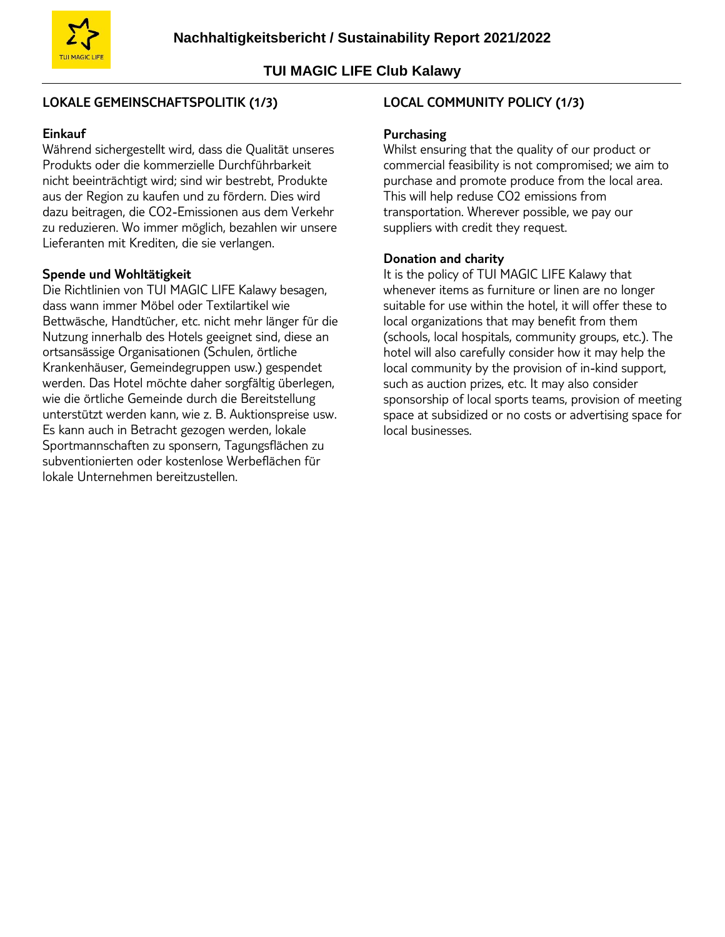# **LOKALE GEMEINSCHAFTSPOLITIK (1/3)**

# **Einkauf**

Während sichergestellt wird, dass die Qualität unseres Produkts oder die kommerzielle Durchführbarkeit nicht beeinträchtigt wird; sind wir bestrebt, Produkte aus der Region zu kaufen und zu fördern. Dies wird dazu beitragen, die CO2-Emissionen aus dem Verkehr zu reduzieren. Wo immer möglich, bezahlen wir unsere Lieferanten mit Krediten, die sie verlangen.

### **Spende und Wohltätigkeit**

Die Richtlinien von TUI MAGIC LIFE Kalawy besagen, dass wann immer Möbel oder Textilartikel wie Bettwäsche, Handtücher, etc. nicht mehr länger für die Nutzung innerhalb des Hotels geeignet sind, diese an ortsansässige Organisationen (Schulen, örtliche Krankenhäuser, Gemeindegruppen usw.) gespendet werden. Das Hotel möchte daher sorgfältig überlegen, wie die örtliche Gemeinde durch die Bereitstellung unterstützt werden kann, wie z. B. Auktionspreise usw. Es kann auch in Betracht gezogen werden, lokale Sportmannschaften zu sponsern, Tagungsflächen zu subventionierten oder kostenlose Werbeflächen für lokale Unternehmen bereitzustellen.

# **LOCAL COMMUNITY POLICY (1/3)**

### **Purchasing**

Whilst ensuring that the quality of our product or commercial feasibility is not compromised; we aim to purchase and promote produce from the local area. This will help reduse CO2 emissions from transportation. Wherever possible, we pay our suppliers with credit they request.

### **Donation and charity**

It is the policy of TUI MAGIC LIFE Kalawy that whenever items as furniture or linen are no longer suitable for use within the hotel, it will offer these to local organizations that may benefit from them (schools, local hospitals, community groups, etc.). The hotel will also carefully consider how it may help the local community by the provision of in-kind support, such as auction prizes, etc. It may also consider sponsorship of local sports teams, provision of meeting space at subsidized or no costs or advertising space for local businesses.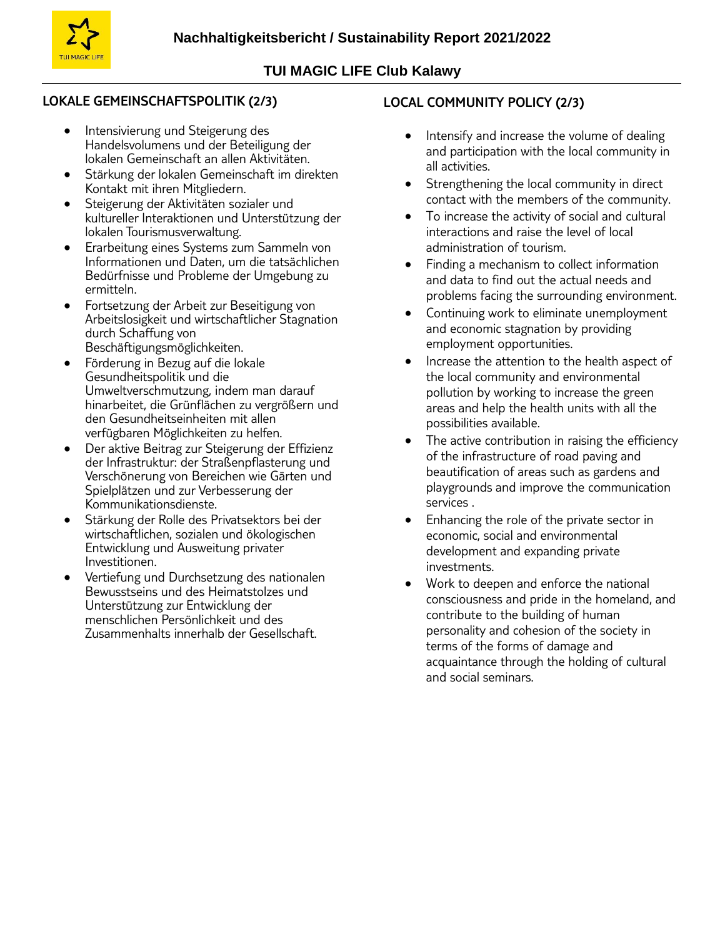

## **LOKALE GEMEINSCHAFTSPOLITIK (2/3)**

- Intensivierung und Steigerung des Handelsvolumens und der Beteiligung der lokalen Gemeinschaft an allen Aktivitäten.
- Stärkung der lokalen Gemeinschaft im direkten Kontakt mit ihren Mitgliedern.
- Steigerung der Aktivitäten sozialer und kultureller Interaktionen und Unterstützung der lokalen Tourismusverwaltung.
- **•** Erarbeitung eines Systems zum Sammeln von Informationen und Daten, um die tatsächlichen Bedürfnisse und Probleme der Umgebung zu ermitteln.
- Fortsetzung der Arbeit zur Beseitigung von Arbeitslosigkeit und wirtschaftlicher Stagnation durch Schaffung von Beschäftigungsmöglichkeiten.
- Förderung in Bezug auf die lokale Gesundheitspolitik und die Umweltverschmutzung, indem man darauf hinarbeitet, die Grünflächen zu vergrößern und den Gesundheitseinheiten mit allen verfügbaren Möglichkeiten zu helfen.
- Der aktive Beitrag zur Steigerung der Effizienz der Infrastruktur: der Straßenpflasterung und Verschönerung von Bereichen wie Gärten und Spielplätzen und zur Verbesserung der Kommunikationsdienste.
- Stärkung der Rolle des Privatsektors bei der wirtschaftlichen, sozialen und ökologischen Entwicklung und Ausweitung privater Investitionen.
- Vertiefung und Durchsetzung des nationalen Bewusstseins und des Heimatstolzes und Unterstützung zur Entwicklung der menschlichen Persönlichkeit und des Zusammenhalts innerhalb der Gesellschaft.

# **LOCAL COMMUNITY POLICY (2/3)**

- Intensify and increase the volume of dealing and participation with the local community in all activities.
- Strengthening the local community in direct contact with the members of the community.
- To increase the activity of social and cultural interactions and raise the level of local administration of tourism.
- Finding a mechanism to collect information and data to find out the actual needs and problems facing the surrounding environment.
- Continuing work to eliminate unemployment and economic stagnation by providing employment opportunities.
- Increase the attention to the health aspect of the local community and environmental pollution by working to increase the green areas and help the health units with all the possibilities available.
- The active contribution in raising the efficiency of the infrastructure of road paving and beautification of areas such as gardens and playgrounds and improve the communication services .
- Enhancing the role of the private sector in economic, social and environmental development and expanding private investments.
- Work to deepen and enforce the national consciousness and pride in the homeland, and contribute to the building of human personality and cohesion of the society in terms of the forms of damage and acquaintance through the holding of cultural and social seminars.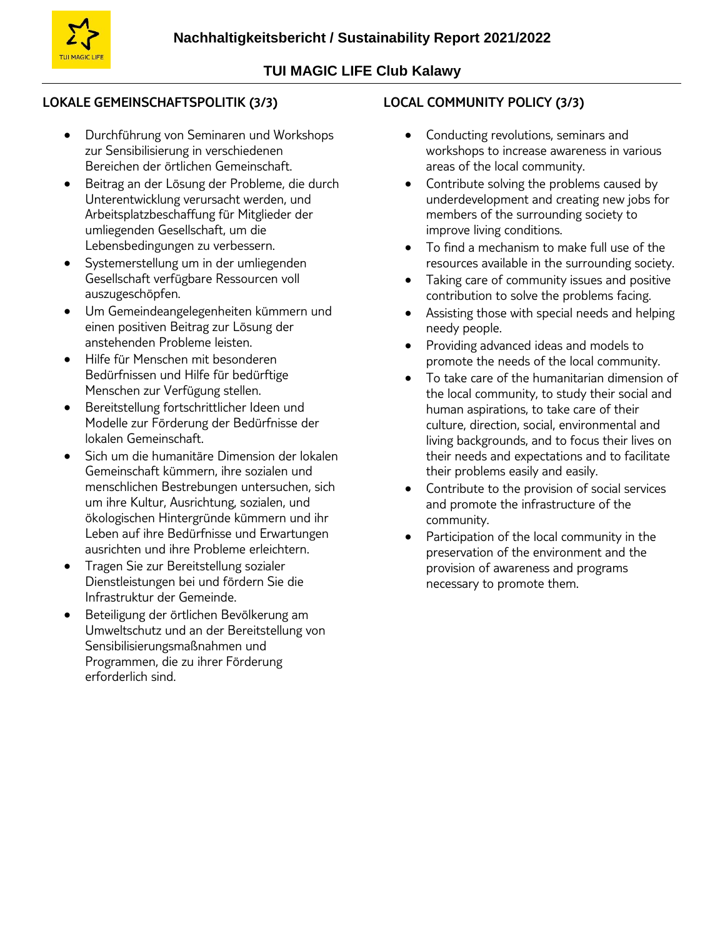

# **LOKALE GEMEINSCHAFTSPOLITIK (3/3)**

- Durchführung von Seminaren und Workshops zur Sensibilisierung in verschiedenen Bereichen der örtlichen Gemeinschaft.
- Beitrag an der Lösung der Probleme, die durch Unterentwicklung verursacht werden, und Arbeitsplatzbeschaffung für Mitglieder der umliegenden Gesellschaft, um die Lebensbedingungen zu verbessern.
- Systemerstellung um in der umliegenden Gesellschaft verfügbare Ressourcen voll auszugeschöpfen.
- Um Gemeindeangelegenheiten kümmern und einen positiven Beitrag zur Lösung der anstehenden Probleme leisten.
- Hilfe für Menschen mit besonderen Bedürfnissen und Hilfe für bedürftige Menschen zur Verfügung stellen.
- Bereitstellung fortschrittlicher Ideen und Modelle zur Förderung der Bedürfnisse der lokalen Gemeinschaft.
- Sich um die humanitäre Dimension der lokalen Gemeinschaft kümmern, ihre sozialen und menschlichen Bestrebungen untersuchen, sich um ihre Kultur, Ausrichtung, sozialen, und ökologischen Hintergründe kümmern und ihr Leben auf ihre Bedürfnisse und Erwartungen ausrichten und ihre Probleme erleichtern.
- Tragen Sie zur Bereitstellung sozialer Dienstleistungen bei und fördern Sie die Infrastruktur der Gemeinde.
- Beteiligung der örtlichen Bevölkerung am Umweltschutz und an der Bereitstellung von Sensibilisierungsmaßnahmen und Programmen, die zu ihrer Förderung erforderlich sind.

# **LOCAL COMMUNITY POLICY (3/3)**

- Conducting revolutions, seminars and workshops to increase awareness in various areas of the local community.
- Contribute solving the problems caused by underdevelopment and creating new jobs for members of the surrounding society to improve living conditions.
- To find a mechanism to make full use of the resources available in the surrounding society.
- Taking care of community issues and positive contribution to solve the problems facing.
- Assisting those with special needs and helping needy people.
- Providing advanced ideas and models to promote the needs of the local community.
- To take care of the humanitarian dimension of the local community, to study their social and human aspirations, to take care of their culture, direction, social, environmental and living backgrounds, and to focus their lives on their needs and expectations and to facilitate their problems easily and easily.
- Contribute to the provision of social services and promote the infrastructure of the community.
- Participation of the local community in the preservation of the environment and the provision of awareness and programs necessary to promote them.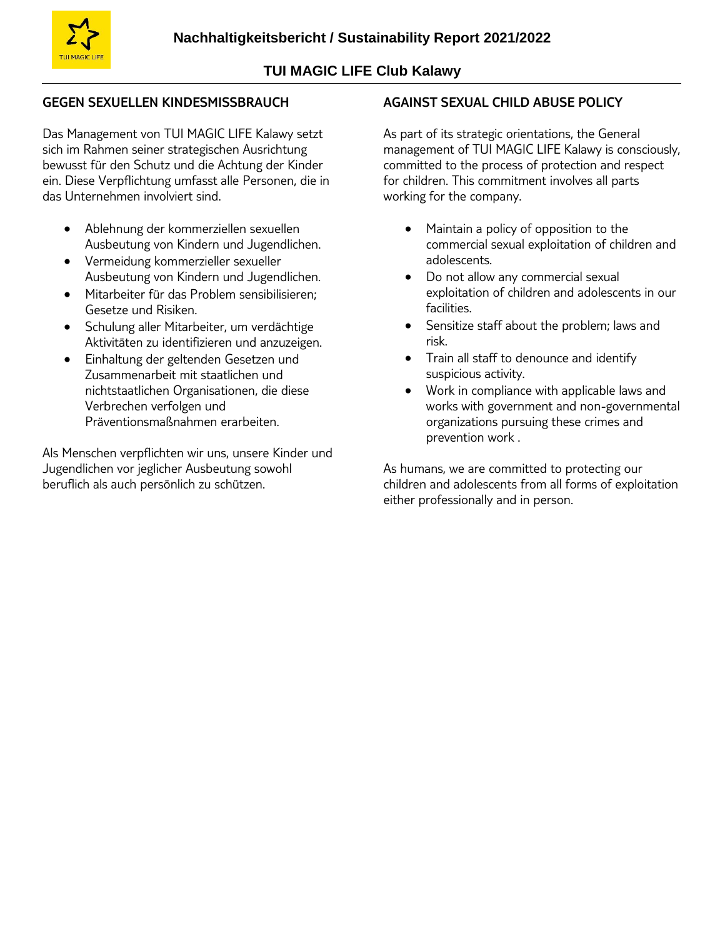

# **GEGEN SEXUELLEN KINDESMISSBRAUCH**

Das Management von TUI MAGIC LIFE Kalawy setzt sich im Rahmen seiner strategischen Ausrichtung bewusst für den Schutz und die Achtung der Kinder ein. Diese Verpflichtung umfasst alle Personen, die in das Unternehmen involviert sind.

- Ablehnung der kommerziellen sexuellen Ausbeutung von Kindern und Jugendlichen.
- Vermeidung kommerzieller sexueller Ausbeutung von Kindern und Jugendlichen.
- Mitarbeiter für das Problem sensibilisieren; Gesetze und Risiken.
- Schulung aller Mitarbeiter, um verdächtige Aktivitäten zu identifizieren und anzuzeigen.
- Einhaltung der geltenden Gesetzen und Zusammenarbeit mit staatlichen und nichtstaatlichen Organisationen, die diese Verbrechen verfolgen und Präventionsmaßnahmen erarbeiten.

Als Menschen verpflichten wir uns, unsere Kinder und Jugendlichen vor jeglicher Ausbeutung sowohl beruflich als auch persönlich zu schützen.

### **AGAINST SEXUAL CHILD ABUSE POLICY**

As part of its strategic orientations, the General management of TUI MAGIC LIFE Kalawy is consciously, committed to the process of protection and respect for children. This commitment involves all parts working for the company.

- Maintain a policy of opposition to the commercial sexual exploitation of children and adolescents.
- Do not allow any commercial sexual exploitation of children and adolescents in our facilities.
- Sensitize staff about the problem; laws and risk.
- Train all staff to denounce and identify suspicious activity.
- Work in compliance with applicable laws and works with government and non-governmental organizations pursuing these crimes and prevention work .

As humans, we are committed to protecting our children and adolescents from all forms of exploitation either professionally and in person.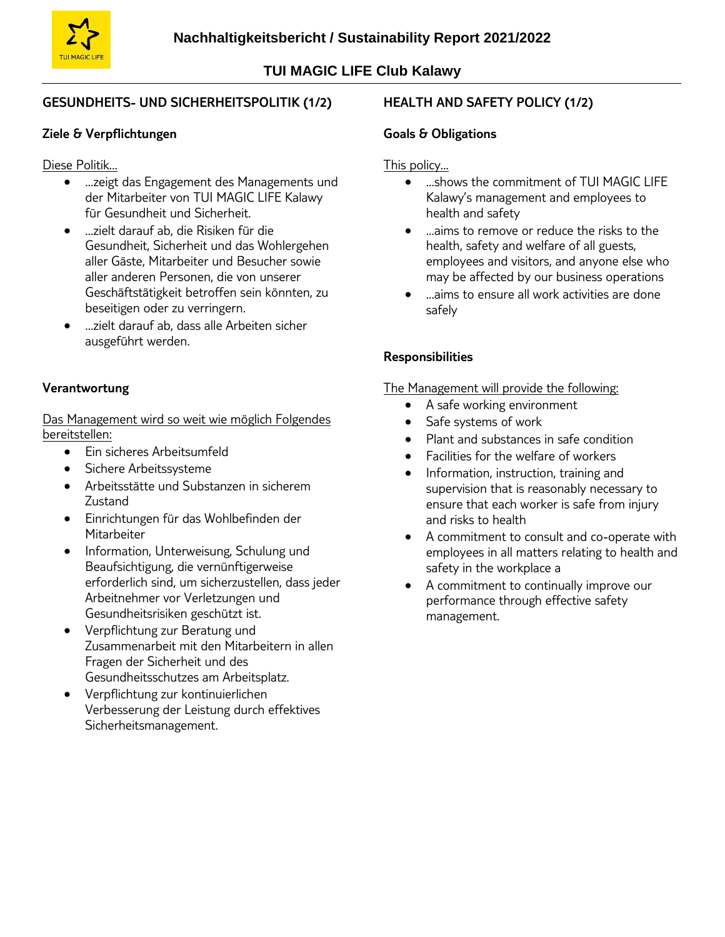

# **GESUNDHEITS- UND SICHERHEITSPOLITIK (1/2)**

### **Ziele & Verpflichtungen**

Diese Politik…

- …zeigt das Engagement des Managements und der Mitarbeiter von TUI MAGIC LIFE Kalawy für Gesundheit und Sicherheit.
- …zielt darauf ab, die Risiken für die Gesundheit, Sicherheit und das Wohlergehen aller Gäste, Mitarbeiter und Besucher sowie aller anderen Personen, die von unserer Geschäftstätigkeit betroffen sein könnten, zu beseitigen oder zu verringern.
- …zielt darauf ab, dass alle Arbeiten sicher ausgeführt werden.

### **Verantwortung**

Das Management wird so weit wie möglich Folgendes bereitstellen:

- Ein sicheres Arbeitsumfeld
- **Sichere Arbeitssysteme**
- Arbeitsstätte und Substanzen in sicherem Zustand
- Einrichtungen für das Wohlbefinden der **Mitarbeiter**
- Information, Unterweisung, Schulung und Beaufsichtigung, die vernünftigerweise erforderlich sind, um sicherzustellen, dass jeder Arbeitnehmer vor Verletzungen und Gesundheitsrisiken geschützt ist.
- Verpflichtung zur Beratung und Zusammenarbeit mit den Mitarbeitern in allen Fragen der Sicherheit und des Gesundheitsschutzes am Arbeitsplatz.
- Verpflichtung zur kontinuierlichen Verbesserung der Leistung durch effektives Sicherheitsmanagement.

# **HEALTH AND SAFETY POLICY (1/2)**

### **Goals & Obligations**

### This policy…

- shows the commitment of TUI MAGIC LIFF Kalawy's management and employees to health and safety
- …aims to remove or reduce the risks to the health, safety and welfare of all guests, employees and visitors, and anyone else who may be affected by our business operations
- …aims to ensure all work activities are done safely

# **Responsibilities**

The Management will provide the following:

- A safe working environment
- Safe systems of work
- Plant and substances in safe condition
- Facilities for the welfare of workers
- Information, instruction, training and supervision that is reasonably necessary to ensure that each worker is safe from injury and risks to health
- A commitment to consult and co-operate with employees in all matters relating to health and safety in the workplace a
- A commitment to continually improve our performance through effective safety management.